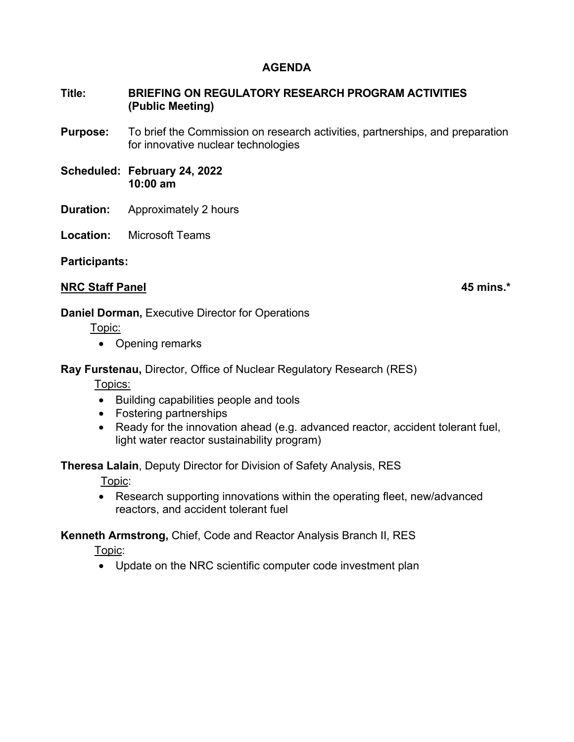## **AGENDA**

## **Title: BRIEFING ON REGULATORY RESEARCH PROGRAM ACTIVITIES (Public Meeting)**

- **Purpose:** To brief the Commission on research activities, partnerships, and preparation for innovative nuclear technologies
- **Scheduled: February 24, 2022 10:00 am**
- **Duration:** Approximately 2 hours
- **Location:** Microsoft Teams

**Participants:** 

### **NRC Staff Panel 45 mins.\* 45 mins.\***

### **Daniel Dorman,** Executive Director for Operations

Topic:

• Opening remarks

**Ray Furstenau,** Director, Office of Nuclear Regulatory Research (RES)

Topics:

- Building capabilities people and tools
- Fostering partnerships
- Ready for the innovation ahead (e.g. advanced reactor, accident tolerant fuel, light water reactor sustainability program)

**Theresa Lalain**, Deputy Director for Division of Safety Analysis, RES

Topic:

• Research supporting innovations within the operating fleet, new/advanced reactors, and accident tolerant fuel

**Kenneth Armstrong,** Chief, Code and Reactor Analysis Branch II, RES

Topic:

• Update on the NRC scientific computer code investment plan